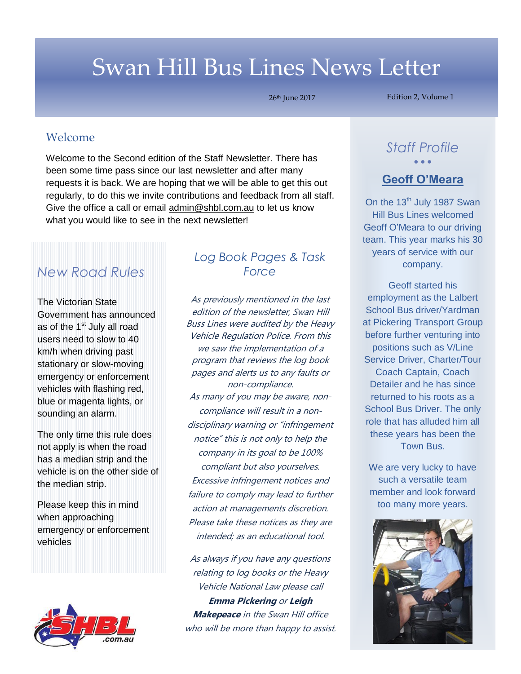# Swan Hill Bus Lines News Letter

26th June 2017

Edition 2, Volume 1

#### Welcome

*Welcome* been some time pass since our last newsletter and after many Welcome to the Second edition of the Staff Newsletter. There has requests it is back. We are hoping that we will be able to get this out regularly, to do this we invite contributions and feedback from all staff. Give the office a call or email [admin@shbl.com.au](mailto:admin@shbl.com.au) to let us know what you would like to see in the next newsletter!

# *New Road Rules*

The Victorian State Government has announced as of the  $1<sup>st</sup>$  July all road users need to slow to 40 km/h when driving past stationary or slow-moving emergency or enforcement vehicles with flashing red, blue or magenta lights, or sounding an alarm.

The only time this rule does not apply is when the road has a median strip and the vehicle is on the other side of the median strip.

Please keep this in mind when approaching emergency or enforcement vehicles



### *Log Book Pages & Task Force*

As previously mentioned in the last edition of the newsletter, Swan Hill Buss Lines were audited by the Heavy Vehicle Regulation Police. From this we saw the implementation of a program that reviews the log book pages and alerts us to any faults or non-compliance. As many of you may be aware, noncompliance will result in a nondisciplinary warning or "infringement notice" this is not only to help the company in its goal to be 100% compliant but also yourselves. Excessive infringement notices and failure to comply may lead to further action at managements discretion. Please take these notices as they are intended; as an educational tool.

As always if you have any questions relating to log books or the Heavy Vehicle National Law please call **Emma Pickering** or **Leigh Makepeace** in the Swan Hill office who will be more than happy to assist.

## *Staff Profile*  $\bullet$   $\bullet$   $\bullet$

#### **Geoff O'Meara**

On the  $13<sup>th</sup>$  July 1987 Swan Hill Bus Lines welcomed Geoff O'Meara to our driving team. This year marks his 30 years of service with our company.

Geoff started his employment as the Lalbert School Bus driver/Yardman at Pickering Transport Group before further venturing into positions such as V/Line Service Driver, Charter/Tour Coach Captain, Coach Detailer and he has since returned to his roots as a School Bus Driver. The only role that has alluded him all these years has been the Town Bus.

We are very lucky to have such a versatile team member and look forward too many more years.